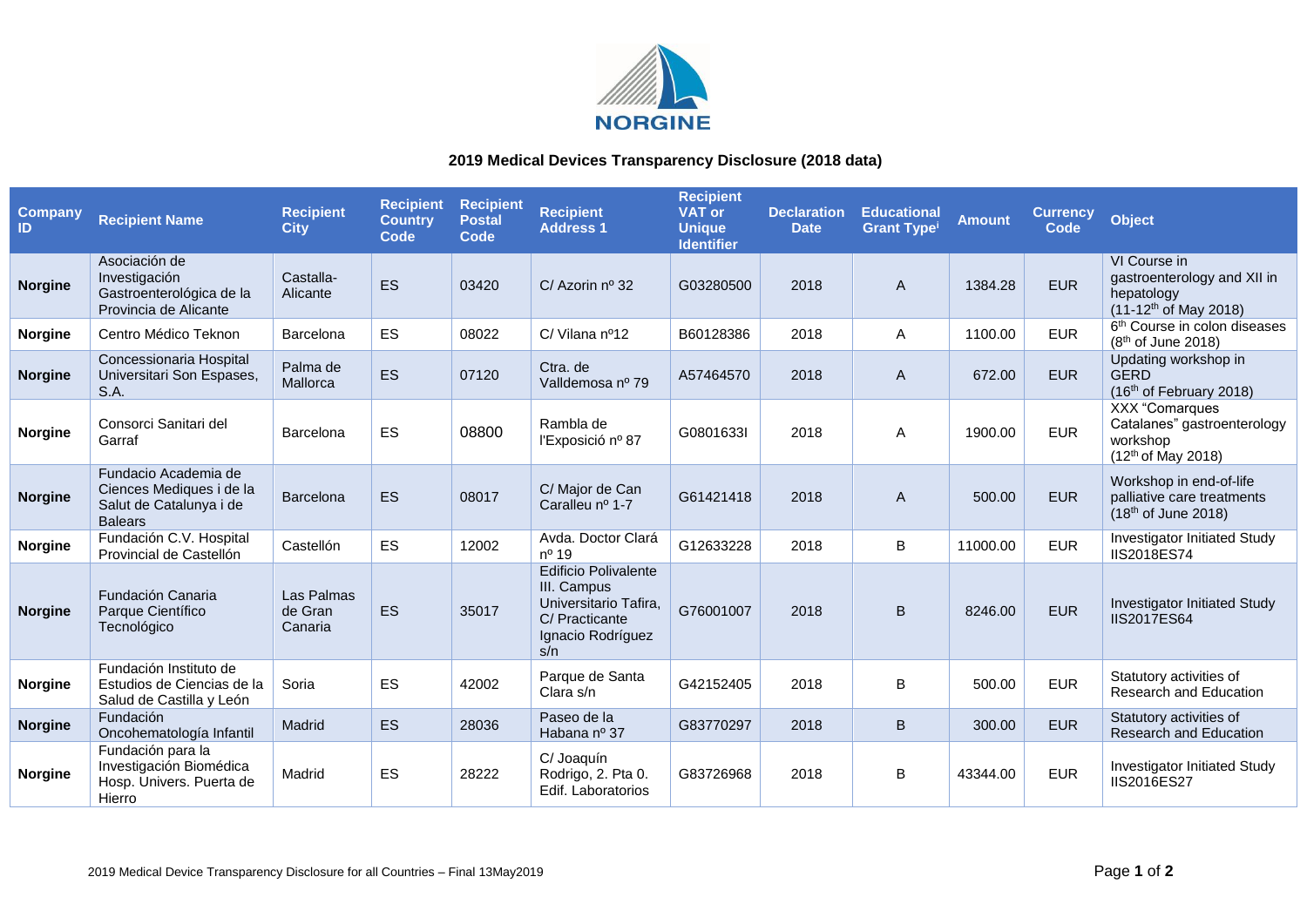

## **2019 Medical Devices Transparency Disclosure (2018 data)**

| <b>Company</b><br>ID | <b>Recipient Name</b>                                                                         | <b>Recipient</b><br><b>City</b>  | <b>Recipient</b><br><b>Country</b><br>Code | <b>Recipient</b><br><b>Postal</b><br>Code | <b>Recipient</b><br><b>Address 1</b>                                                                              | <b>Recipient</b><br><b>VAT or</b><br><b>Unique</b><br><b>Identifier</b> | <b>Declaration</b><br><b>Date</b> | <b>Educational</b><br><b>Grant Type<sup>i</sup></b> | <b>Amount</b> | <b>Currency</b><br>Code | <b>Object</b>                                                                                      |
|----------------------|-----------------------------------------------------------------------------------------------|----------------------------------|--------------------------------------------|-------------------------------------------|-------------------------------------------------------------------------------------------------------------------|-------------------------------------------------------------------------|-----------------------------------|-----------------------------------------------------|---------------|-------------------------|----------------------------------------------------------------------------------------------------|
| <b>Norgine</b>       | Asociación de<br>Investigación<br>Gastroenterológica de la<br>Provincia de Alicante           | Castalla-<br>Alicante            | <b>ES</b>                                  | 03420                                     | C/ Azorin nº 32                                                                                                   | G03280500                                                               | 2018                              | A                                                   | 1384.28       | <b>EUR</b>              | VI Course in<br>gastroenterology and XII in<br>hepatology<br>(11-12 <sup>th</sup> of May 2018)     |
| <b>Norgine</b>       | Centro Médico Teknon                                                                          | Barcelona                        | <b>ES</b>                                  | 08022                                     | C/ Vilana nº12                                                                                                    | B60128386                                                               | 2018                              | Α                                                   | 1100.00       | <b>EUR</b>              | 6 <sup>th</sup> Course in colon diseases<br>$(8th$ of June 2018)                                   |
| <b>Norgine</b>       | Concessionaria Hospital<br>Universitari Son Espases,<br>S.A.                                  | Palma de<br>Mallorca             | <b>ES</b>                                  | 07120                                     | Ctra, de<br>Valldemosa nº 79                                                                                      | A57464570                                                               | 2018                              | A                                                   | 672.00        | <b>EUR</b>              | Updating workshop in<br><b>GERD</b><br>(16th of February 2018)                                     |
| <b>Norgine</b>       | Consorci Sanitari del<br>Garraf                                                               | Barcelona                        | ES                                         | 08800                                     | Rambla de<br>l'Exposició nº 87                                                                                    | G0801633I                                                               | 2018                              | A                                                   | 1900.00       | <b>EUR</b>              | <b>XXX</b> "Comarques<br>Catalanes" gastroenterology<br>workshop<br>(12 <sup>th</sup> of May 2018) |
| <b>Norgine</b>       | Fundacio Academia de<br>Ciences Mediques i de la<br>Salut de Catalunya i de<br><b>Balears</b> | Barcelona                        | ES                                         | 08017                                     | C/ Major de Can<br>Caralleu nº 1-7                                                                                | G61421418                                                               | 2018                              | A                                                   | 500.00        | <b>EUR</b>              | Workshop in end-of-life<br>palliative care treatments<br>(18th of June 2018)                       |
| <b>Norgine</b>       | Fundación C.V. Hospital<br>Provincial de Castellón                                            | Castellón                        | ES                                         | 12002                                     | Avda. Doctor Clará<br>nº 19                                                                                       | G12633228                                                               | 2018                              | B                                                   | 11000.00      | <b>EUR</b>              | Investigator Initiated Study<br>IIS2018ES74                                                        |
| <b>Norgine</b>       | Fundación Canaria<br>Parque Científico<br>Tecnológico                                         | Las Palmas<br>de Gran<br>Canaria | <b>ES</b>                                  | 35017                                     | <b>Edificio Polivalente</b><br>III. Campus<br>Universitario Tafira,<br>C/ Practicante<br>Ignacio Rodríguez<br>s/n | G76001007                                                               | 2018                              | B                                                   | 8246.00       | <b>EUR</b>              | <b>Investigator Initiated Study</b><br>IIS2017ES64                                                 |
| <b>Norgine</b>       | Fundación Instituto de<br>Estudios de Ciencias de la<br>Salud de Castilla y León              | Soria                            | ES                                         | 42002                                     | Parque de Santa<br>Clara s/n                                                                                      | G42152405                                                               | 2018                              | B                                                   | 500.00        | <b>EUR</b>              | Statutory activities of<br><b>Research and Education</b>                                           |
| <b>Norgine</b>       | Fundación<br>Oncohematología Infantil                                                         | Madrid                           | <b>ES</b>                                  | 28036                                     | Paseo de la<br>Habana nº 37                                                                                       | G83770297                                                               | 2018                              | B                                                   | 300.00        | <b>EUR</b>              | Statutory activities of<br><b>Research and Education</b>                                           |
| <b>Norgine</b>       | Fundación para la<br>Investigación Biomédica<br>Hosp. Univers. Puerta de<br>Hierro            | Madrid                           | ES                                         | 28222                                     | C/ Joaquín<br>Rodrigo, 2. Pta 0.<br>Edif. Laboratorios                                                            | G83726968                                                               | 2018                              | B                                                   | 43344.00      | <b>EUR</b>              | Investigator Initiated Study<br><b>IIS2016ES27</b>                                                 |